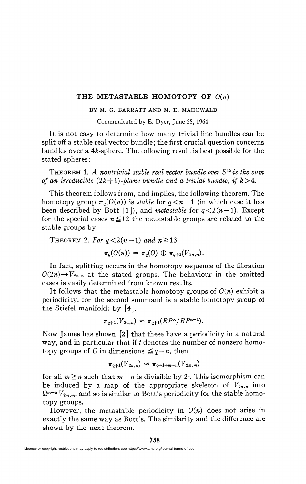## **THE METASTABLE HOMOTOPY OF** *0(n)*

## BY M. G. BARRATT AND M. E. MAHOWALD

Communicated by E. Dyer, June 25, 1964

It is not easy to determine how many trivial line bundles can be split off a stable real vector bundle; the first crucial question concerns bundles over a  $4k$ -sphere. The following result is best possible for the stated spheres:

THEOREM 1. *A nontrivial stable real vector bundle over SAkis the sum of an irreducible*  $(2k+1)$ *-plane bundle and a trivial bundle, if*  $k>4$ .

This theorem follows from, and implies, the following theorem. The homotopy group  $\pi_q(O(n))$  is *stable* for  $q < n-1$  (in which case it has been described by Bott [1]), and *metastable* for  $q < 2(n-1)$ . Except for the special cases  $n \leq 12$  the metastable groups are related to the stable groups by

THEOREM 2. For  $q < 2(n-1)$  and  $n \ge 13$ ,  $\pi_q(O(n)) = \pi_q(O) \oplus \pi_{q+1}(V_{2n,n}).$ 

In fact, splitting occurs in the homotopy sequence of the fibration  $O(2n) \rightarrow V_{2n,n}$  at the stated groups. The behaviour in the omitted cases is easily determined from known results.

It follows that the metastable homotopy groups of  $O(n)$  exhibit a periodicity, for the second summand is a stable homotopy group of the Stiefel manifold: by [4],

$$
\pi_{q+1}(V_{2n,n}) \approx \pi_{q+1}(RP^{\infty}/RP^{n-1}).
$$

Now James has shown [2 ] that these have a periodicity in a natural way, and in particular that if *t* denotes the number of nonzero homotopy groups of *O* in dimensions  $\leq q - n$ , then

$$
\pi_{q+1}(V_{2n,n}) \approx \pi_{q+1+m-n}(V_{2m,m})
$$

for all  $m \ge n$  such that  $m - n$  is divisible by 2<sup>t</sup>. This isomorphism can be induced by a map of the appropriate skeleton of  $V_{2n,n}$  into  $\Omega^{m-n}V_{2m,m}$ , and so is similar to Bott's periodicity for the stable homotopy groups.

However, the metastable periodicity in  $O(n)$  does not arise in exactly the same way as Bott's. The similarity and the difference are shown by the next theorem.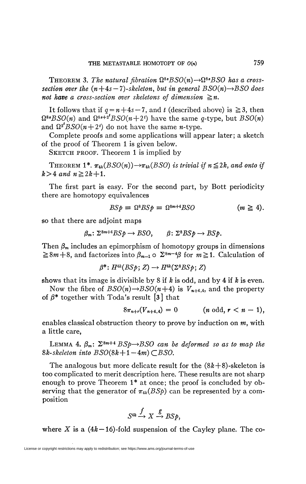**THEOREM 3.** The natural fibration  $\Omega^{s}$ <sup>*BSO(n)* $\rightarrow \Omega^{s}$ *BSO has a cross-*</sup> *section over the*  $(n+4s-7)$ *-skeleton, but in general BSO(n)* $\rightarrow$ *BSO does not have a cross-section over skeletons of dimension*  $\geq n$ .

It follows that if  $q = n+4s - 7$ , and t (described above) is  $\ge 3$ , then  $\Omega^{s}$ *BSO(n)* and  $\Omega^{s}$ <sup>+2</sup>*BSO(n*+2<sup>*t*</sup>) have the same g-type, but *BSO(n)* and  $\Omega^2 BSO(n+2^i)$  do not have the same *n*-type.

Complete proofs and some applications will appear later; a sketch of the proof of Theorem 1 is given below.

SKETCH PROOF. Theorem 1 is implied by

THEOREM 1<sup>\*</sup>.  $\pi_{4k}(BSO(n)) \rightarrow \pi_{4k}(BSO)$  is trivial if  $n \leq 2k$ , and onto if  $k > 4$  and  $n \ge 2k + 1$ .

The first part is easy. For the second part, by Bott periodicity there are homotopy equivalences

$$
BSp = \Omega^8 B S p = \Omega^{8m+4} B SO \qquad (m \ge 4).
$$

so that there are adjoint maps

$$
\beta_m\colon \Sigma^{8m+4} BSp \to BSO, \qquad \beta\colon \Sigma^8 BSp \to BSp.
$$

Then  $\beta_m$  includes an epimorphism of homotopy groups in dimensions  $\geq 8m+8$ , and factorizes into  $\beta_{m-1} \circ \Sigma^{8m-4}\beta$  for  $m \geq 1$ . Calculation of

$$
\beta^*: H^{4k}(BSp; Z) \to H^{4k}(\Sigma^8BSp; Z)
$$

shows that its image is divisible by 8 if *k* is odd, and by 4 if *k* is even.

Now the fibre of  $BSO(n) \rightarrow BSO(n+4)$  is  $V_{n+4,4}$ , and the property of  $\beta^*$  together with Toda's result [3] that

$$
8\pi_{n+r}(V_{n+4,4}) = 0 \qquad (n \text{ odd}, r < n-1),
$$

enables classical obstruction theory to prove by induction on *m,* with a little care,

LEMMA 4.  $\beta_m$ :  $\Sigma^{8m+4}$  *BSp* $\rightarrow$ *BSO can be deformed so as to map the*  $8k-skeleton$  into  $BSO(8k+1-4m) \subset BSO$ .

The analogous but more delicate result for the *(&k+*8)-skeleton is too complicated to merit description here. These results are not sharp enough to prove Theorem 1\* at once; the proof is concluded by observing that the generator of  $\pi_{4k}(BSp)$  can be represented by a composition

$$
S^{4k} \xrightarrow{f} X \xrightarrow{g} BSp,
$$

where X is a  $(4k - 16)$ -fold suspension of the Cayley plane. The co-